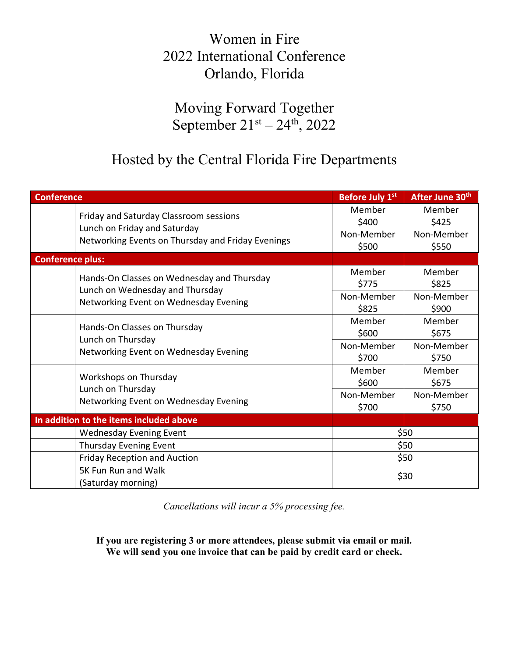## Women in Fire 2022 International Conference Orlando, Florida

Moving Forward Together September  $21^{st} - 24^{th}$ , 2022

## Hosted by the Central Florida Fire Departments

| <b>Conference</b>                                                                                                           | Before July 1st                        | After June 30th                        |
|-----------------------------------------------------------------------------------------------------------------------------|----------------------------------------|----------------------------------------|
| Friday and Saturday Classroom sessions<br>Lunch on Friday and Saturday<br>Networking Events on Thursday and Friday Evenings | Member<br>\$400<br>Non-Member          | Member<br>\$425<br>Non-Member          |
|                                                                                                                             | \$500                                  | \$550                                  |
| <b>Conference plus:</b>                                                                                                     |                                        |                                        |
| Hands-On Classes on Wednesday and Thursday<br>Lunch on Wednesday and Thursday<br>Networking Event on Wednesday Evening      | Member<br>\$775<br>Non-Member<br>\$825 | Member<br>\$825<br>Non-Member<br>\$900 |
| Hands-On Classes on Thursday<br>Lunch on Thursday<br>Networking Event on Wednesday Evening                                  | Member<br>\$600<br>Non-Member<br>\$700 | Member<br>\$675<br>Non-Member<br>\$750 |
| Workshops on Thursday<br>Lunch on Thursday<br>Networking Event on Wednesday Evening                                         | Member<br>\$600<br>Non-Member<br>\$700 | Member<br>\$675<br>Non-Member<br>\$750 |
| In addition to the items included above                                                                                     |                                        |                                        |
| <b>Wednesday Evening Event</b>                                                                                              |                                        | \$50                                   |
| Thursday Evening Event                                                                                                      |                                        | \$50                                   |
| <b>Friday Reception and Auction</b>                                                                                         |                                        | \$50                                   |
| 5K Fun Run and Walk<br>(Saturday morning)                                                                                   |                                        | \$30                                   |

*Cancellations will incur a 5% processing fee.*

**If you are registering 3 or more attendees, please submit via email or mail. We will send you one invoice that can be paid by credit card or check.**